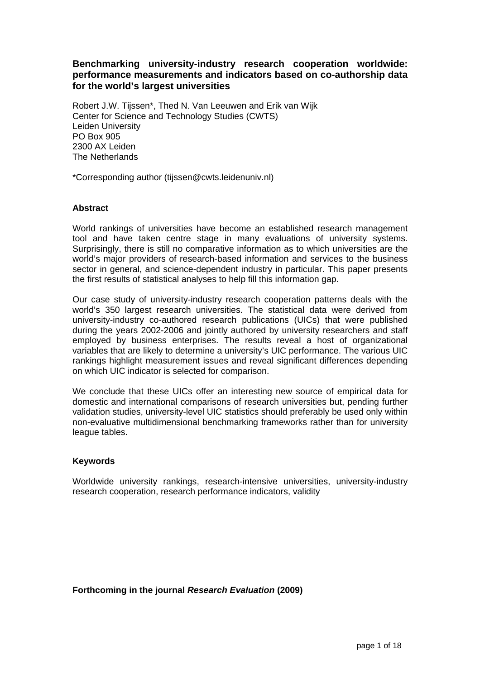# **Benchmarking university-industry research cooperation worldwide: performance measurements and indicators based on co-authorship data for the world's largest universities**

Robert J.W. Tijssen\*, Thed N. Van Leeuwen and Erik van Wijk Center for Science and Technology Studies (CWTS) Leiden University PO Box 905 2300 AX Leiden The Netherlands

\*Corresponding author (tijssen@cwts.leidenuniv.nl)

# **Abstract**

World rankings of universities have become an established research management tool and have taken centre stage in many evaluations of university systems. Surprisingly, there is still no comparative information as to which universities are the world's major providers of research-based information and services to the business sector in general, and science-dependent industry in particular. This paper presents the first results of statistical analyses to help fill this information gap.

Our case study of university-industry research cooperation patterns deals with the world's 350 largest research universities. The statistical data were derived from university-industry co-authored research publications (UICs) that were published during the years 2002-2006 and jointly authored by university researchers and staff employed by business enterprises. The results reveal a host of organizational variables that are likely to determine a university's UIC performance. The various UIC rankings highlight measurement issues and reveal significant differences depending on which UIC indicator is selected for comparison.

We conclude that these UICs offer an interesting new source of empirical data for domestic and international comparisons of research universities but, pending further validation studies, university-level UIC statistics should preferably be used only within non-evaluative multidimensional benchmarking frameworks rather than for university league tables.

### **Keywords**

Worldwide university rankings, research-intensive universities, university-industry research cooperation, research performance indicators, validity

# **Forthcoming in the journal** *Research Evaluation* **(2009)**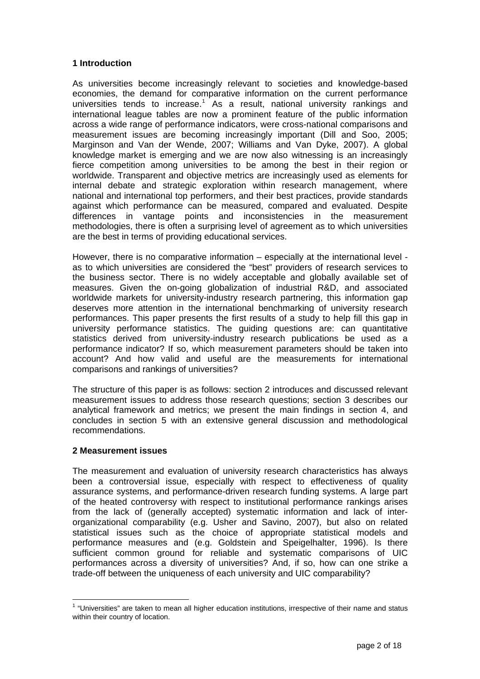### **1 Introduction**

As universities become increasingly relevant to societies and knowledge-based economies, the demand for comparative information on the current performance universities tends to increase.<sup>[1](#page-1-0)</sup> As a result, national university rankings and international league tables are now a prominent feature of the public information across a wide range of performance indicators, were cross-national comparisons and measurement issues are becoming increasingly important (Dill and Soo, 2005; Marginson and Van der Wende, 2007; Williams and Van Dyke, 2007). A global knowledge market is emerging and we are now also witnessing is an increasingly fierce competition among universities to be among the best in their region or worldwide. Transparent and objective metrics are increasingly used as elements for internal debate and strategic exploration within research management, where national and international top performers, and their best practices, provide standards against which performance can be measured, compared and evaluated. Despite differences in vantage points and inconsistencies in the measurement methodologies, there is often a surprising level of agreement as to which universities are the best in terms of providing educational services.

However, there is no comparative information – especially at the international level as to which universities are considered the "best" providers of research services to the business sector. There is no widely acceptable and globally available set of measures. Given the on-going globalization of industrial R&D, and associated worldwide markets for university-industry research partnering, this information gap deserves more attention in the international benchmarking of university research performances. This paper presents the first results of a study to help fill this gap in university performance statistics. The guiding questions are: can quantitative statistics derived from university-industry research publications be used as a performance indicator? If so, which measurement parameters should be taken into account? And how valid and useful are the measurements for international comparisons and rankings of universities?

The structure of this paper is as follows: section 2 introduces and discussed relevant measurement issues to address those research questions; section 3 describes our analytical framework and metrics; we present the main findings in section 4, and concludes in section 5 with an extensive general discussion and methodological recommendations.

# **2 Measurement issues**

The measurement and evaluation of university research characteristics has always been a controversial issue, especially with respect to effectiveness of quality assurance systems, and performance-driven research funding systems. A large part of the heated controversy with respect to institutional performance rankings arises from the lack of (generally accepted) systematic information and lack of interorganizational comparability (e.g. Usher and Savino, 2007), but also on related statistical issues such as the choice of appropriate statistical models and performance measures and (e.g. Goldstein and Speigelhalter, 1996). Is there sufficient common ground for reliable and systematic comparisons of UIC performances across a diversity of universities? And, if so, how can one strike a trade-off between the uniqueness of each university and UIC comparability?

<span id="page-1-0"></span> 1 "Universities" are taken to mean all higher education institutions, irrespective of their name and status within their country of location.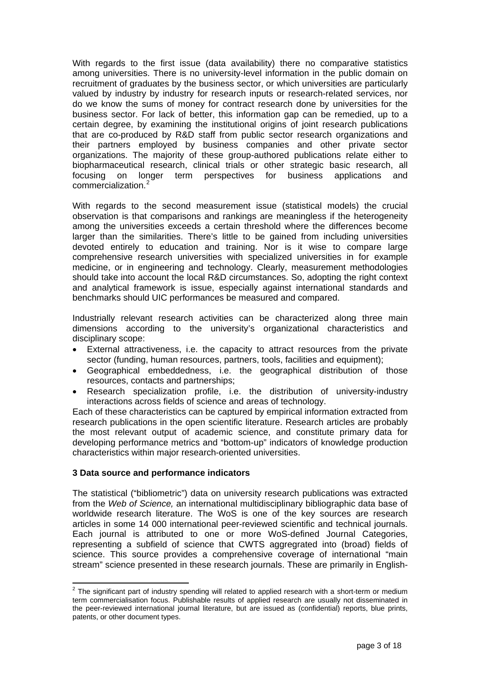With regards to the first issue (data availability) there no comparative statistics among universities. There is no university-level information in the public domain on recruitment of graduates by the business sector, or which universities are particularly valued by industry by industry for research inputs or research-related services, nor do we know the sums of money for contract research done by universities for the business sector. For lack of better, this information gap can be remedied, up to a certain degree, by examining the institutional origins of joint research publications that are co-produced by R&D staff from public sector research organizations and their partners employed by business companies and other private sector organizations. The majority of these group-authored publications relate either to biopharmaceutical research, clinical trials or other strategic basic research, all focusing on longer term perspectives for business applications and commercialization.[2](#page-2-0)

With regards to the second measurement issue (statistical models) the crucial observation is that comparisons and rankings are meaningless if the heterogeneity among the universities exceeds a certain threshold where the differences become larger than the similarities. There's little to be gained from including universities devoted entirely to education and training. Nor is it wise to compare large comprehensive research universities with specialized universities in for example medicine, or in engineering and technology. Clearly, measurement methodologies should take into account the local R&D circumstances. So, adopting the right context and analytical framework is issue, especially against international standards and benchmarks should UIC performances be measured and compared.

Industrially relevant research activities can be characterized along three main dimensions according to the university's organizational characteristics and disciplinary scope:

- External attractiveness, i.e. the capacity to attract resources from the private sector (funding, human resources, partners, tools, facilities and equipment);
- Geographical embeddedness, i.e. the geographical distribution of those resources, contacts and partnerships;
- Research specialization profile, i.e. the distribution of university-industry interactions across fields of science and areas of technology.

Each of these characteristics can be captured by empirical information extracted from research publications in the open scientific literature. Research articles are probably the most relevant output of academic science, and constitute primary data for developing performance metrics and "bottom-up" indicators of knowledge production characteristics within major research-oriented universities.

### **3 Data source and performance indicators**

The statistical ("bibliometric") data on university research publications was extracted from the *Web of Science,* an international multidisciplinary bibliographic data base of worldwide research literature. The WoS is one of the key sources are research articles in some 14 000 international peer-reviewed scientific and technical journals. Each journal is attributed to one or more WoS-defined Journal Categories, representing a subfield of science that CWTS aggregrated into (broad) fields of science. This source provides a comprehensive coverage of international "main stream" science presented in these research journals. These are primarily in English-

<span id="page-2-0"></span>The significant part of industry spending will related to applied research with a short-term or medium term commercialisation focus. Publishable results of applied research are usually not disseminated in the peer-reviewed international journal literature, but are issued as (confidential) reports, blue prints, patents, or other document types.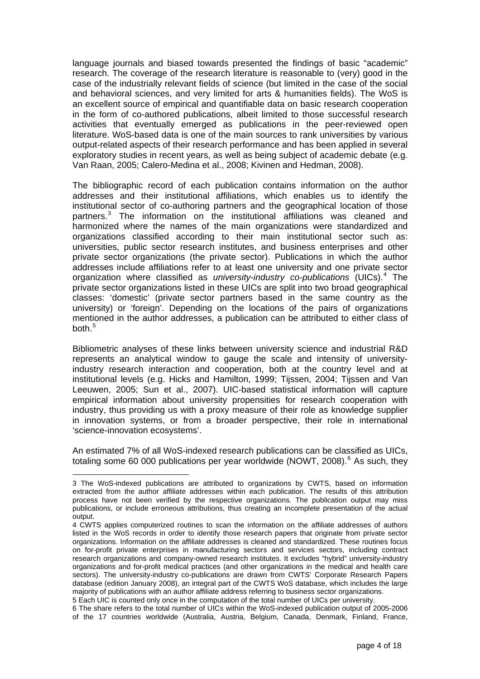language journals and biased towards presented the findings of basic "academic" research. The coverage of the research literature is reasonable to (very) good in the case of the industrially relevant fields of science (but limited in the case of the social and behavioral sciences, and very limited for arts & humanities fields). The WoS is an excellent source of empirical and quantifiable data on basic research cooperation in the form of co-authored publications, albeit limited to those successful research activities that eventually emerged as publications in the peer-reviewed open literature. WoS-based data is one of the main sources to rank universities by various output-related aspects of their research performance and has been applied in several exploratory studies in recent years, as well as being subject of academic debate (e.g. Van Raan, 2005; Calero-Medina et al., 2008; Kivinen and Hedman, 2008).

The bibliographic record of each publication contains information on the author addresses and their institutional affiliations, which enables us to identify the institutional sector of co-authoring partners and the geographical location of those partners.<sup>[3](#page-3-0)</sup> The information on the institutional affiliations was cleaned and harmonized where the names of the main organizations were standardized and organizations classified according to their main institutional sector such as: universities, public sector research institutes, and business enterprises and other private sector organizations (the private sector). Publications in which the author addresses include affiliations refer to at least one university and one private sector organization where classified as *university-industry co-publications* (UICs).[4](#page-3-1) The private sector organizations listed in these UICs are split into two broad geographical classes: 'domestic' (private sector partners based in the same country as the university) or 'foreign'. Depending on the locations of the pairs of organizations mentioned in the author addresses, a publication can be attributed to either class of both.<sup>[5](#page-3-2)</sup>

Bibliometric analyses of these links between university science and industrial R&D represents an analytical window to gauge the scale and intensity of universityindustry research interaction and cooperation, both at the country level and at institutional levels (e.g. Hicks and Hamilton, 1999; Tijssen, 2004; Tijssen and Van Leeuwen, 2005; Sun et al., 2007). UIC-based statistical information will capture empirical information about university propensities for research cooperation with industry, thus providing us with a proxy measure of their role as knowledge supplier in innovation systems, or from a broader perspective, their role in international 'science-innovation ecosystems'.

An estimated 7% of all WoS-indexed research publications can be classified as UICs, totaling some [6](#page-3-3)0 000 publications per year worldwide (NOWT, 2008).<sup>6</sup> As such, they

 $\overline{a}$ 

<span id="page-3-0"></span><sup>3</sup> The WoS-indexed publications are attributed to organizations by CWTS, based on information extracted from the author affiliate addresses within each publication. The results of this attribution process have not been verified by the respective organizations. The publication output may miss publications, or include erroneous attributions, thus creating an incomplete presentation of the actual output.

<span id="page-3-1"></span><sup>4</sup> CWTS applies computerized routines to scan the information on the affiliate addresses of authors listed in the WoS records in order to identify those research papers that originate from private sector organizations. Information on the affiliate addresses is cleaned and standardized. These routines focus on for-profit private enterprises in manufacturing sectors and services sectors, including contract research organizations and company-owned research institutes. It excludes "hybrid" university-industry organizations and for-profit medical practices (and other organizations in the medical and health care sectors). The university-industry co-publications are drawn from CWTS' Corporate Research Papers database (edition January 2008), an integral part of the CWTS WoS database, which includes the large majority of publications with an author affiliate address referring to business sector organizations.

<span id="page-3-2"></span><sup>5</sup> Each UIC is counted only once in the computation of the total number of UICs per university.

<span id="page-3-3"></span><sup>6</sup> The share refers to the total number of UICs within the WoS-indexed publication output of 2005-2006 of the 17 countries worldwide (Australia, Austria, Belgium, Canada, Denmark, Finland, France,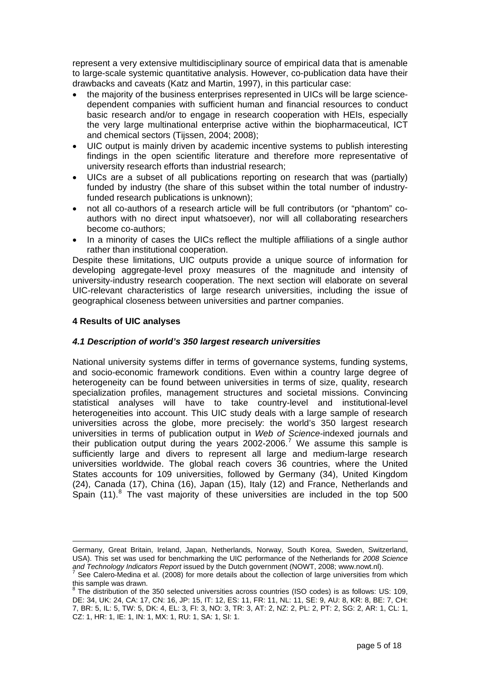represent a very extensive multidisciplinary source of empirical data that is amenable to large-scale systemic quantitative analysis. However, co-publication data have their drawbacks and caveats (Katz and Martin, 1997), in this particular case:

- the majority of the business enterprises represented in UICs will be large sciencedependent companies with sufficient human and financial resources to conduct basic research and/or to engage in research cooperation with HEIs, especially the very large multinational enterprise active within the biopharmaceutical, ICT and chemical sectors (Tijssen, 2004; 2008);
- UIC output is mainly driven by academic incentive systems to publish interesting findings in the open scientific literature and therefore more representative of university research efforts than industrial research;
- UICs are a subset of all publications reporting on research that was (partially) funded by industry (the share of this subset within the total number of industryfunded research publications is unknown);
- not all co-authors of a research article will be full contributors (or "phantom" coauthors with no direct input whatsoever), nor will all collaborating researchers become co-authors;
- In a minority of cases the UICs reflect the multiple affiliations of a single author rather than institutional cooperation.

Despite these limitations, UIC outputs provide a unique source of information for developing aggregate-level proxy measures of the magnitude and intensity of university-industry research cooperation. The next section will elaborate on several UIC-relevant characteristics of large research universities, including the issue of geographical closeness between universities and partner companies.

# **4 Results of UIC analyses**

# *4.1 Description of world's 350 largest research universities*

National university systems differ in terms of governance systems, funding systems, and socio-economic framework conditions. Even within a country large degree of heterogeneity can be found between universities in terms of size, quality, research specialization profiles, management structures and societal missions. Convincing statistical analyses will have to take country-level and institutional-level heterogeneities into account. This UIC study deals with a large sample of research universities across the globe, more precisely: the world's 350 largest research universities in terms of publication output in *Web of Science*-indexed journals and their publication output during the years 2002-2006.<sup>[7](#page-4-0)</sup> We assume this sample is sufficiently large and divers to represent all large and medium-large research universities worldwide. The global reach covers 36 countries, where the United States accounts for 109 universities, followed by Germany (34), United Kingdom (24), Canada (17), China (16), Japan (15), Italy (12) and France, Netherlands and Spain  $(11)$ .<sup>[8](#page-4-1)</sup> The vast majority of these universities are included in the top 500

<sup>1</sup> Germany, Great Britain, Ireland, Japan, Netherlands, Norway, South Korea, Sweden, Switzerland, USA). This set was used for benchmarking the UIC performance of the Netherlands for *2008 Science*  and Technology Indicators Report issued by the Dutch government (NOWT, 2008; www.nowt.nl).

<span id="page-4-0"></span>See Calero-Medina et al. (2008) for more details about the collection of large universities from which this sample was drawn.

<span id="page-4-1"></span> $8$  The distribution of the 350 selected universities across countries (ISO codes) is as follows: US: 109, DE: 34, UK: 24, CA: 17, CN: 16, JP: 15, IT: 12, ES: 11, FR: 11, NL: 11, SE: 9, AU: 8, KR: 8, BE: 7, CH: 7, BR: 5, IL: 5, TW: 5, DK: 4, EL: 3, FI: 3, NO: 3, TR: 3, AT: 2, NZ: 2, PL: 2, PT: 2, SG: 2, AR: 1, CL: 1, CZ: 1, HR: 1, IE: 1, IN: 1, MX: 1, RU: 1, SA: 1, SI: 1.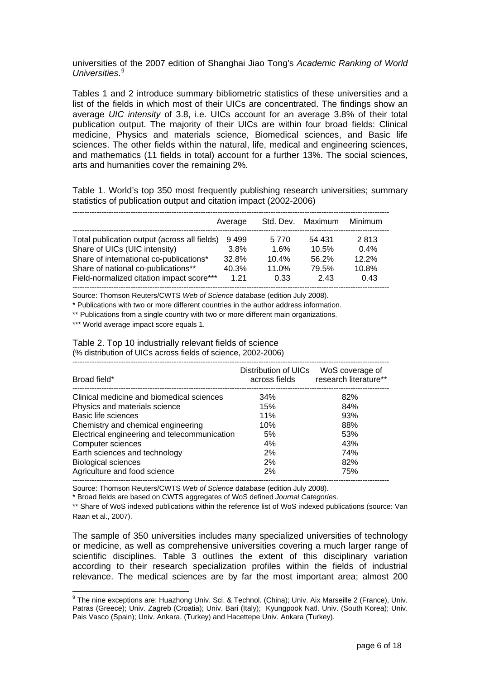universities of the 2007 edition of Shanghai Jiao Tong's *Academic Ranking of World Universities*. [9](#page-5-0)

Tables 1 and 2 introduce summary bibliometric statistics of these universities and a list of the fields in which most of their UICs are concentrated. The findings show an average *UIC intensity* of 3.8, i.e. UICs account for an average 3.8% of their total publication output. The majority of their UICs are within four broad fields: Clinical medicine, Physics and materials science, Biomedical sciences, and Basic life sciences. The other fields within the natural, life, medical and engineering sciences, and mathematics (11 fields in total) account for a further 13%. The social sciences, arts and humanities cover the remaining 2%.

Table 1. World's top 350 most frequently publishing research universities; summary statistics of publication output and citation impact (2002-2006)

|                                              | Average | Std. Dev. | Maximum | Minimum |
|----------------------------------------------|---------|-----------|---------|---------|
| Total publication output (across all fields) | 9499    | 5 7 7 0   | 54 431  | 2813    |
| Share of UICs (UIC intensity)                | 3.8%    | 1.6%      | 10.5%   | 0.4%    |
| Share of international co-publications*      | 32.8%   | 10.4%     | 56.2%   | 12.2%   |
| Share of national co-publications**          | 40.3%   | 11.0%     | 79.5%   | 10.8%   |
| Field-normalized citation impact score***    | 1 21    | 0.33      | 243     | 0.43    |

Source: Thomson Reuters/CWTS *Web of Science* database (edition July 2008).

\* Publications with two or more different countries in the author address information.

\*\* Publications from a single country with two or more different main organizations.

\*\*\* World average impact score equals 1.

Table 2. Top 10 industrially relevant fields of science

(% distribution of UICs across fields of science, 2002-2006)

| Broad field*                                 | Distribution of UICs<br>across fields | WoS coverage of<br>research literature** |
|----------------------------------------------|---------------------------------------|------------------------------------------|
| Clinical medicine and biomedical sciences    | 34%                                   | 82%                                      |
| Physics and materials science                | 15%                                   | 84%                                      |
| Basic life sciences                          | 11%                                   | 93%                                      |
| Chemistry and chemical engineering           | 10%                                   | 88%                                      |
| Electrical engineering and telecommunication | 5%                                    | 53%                                      |
| Computer sciences                            | 4%                                    | 43%                                      |
| Earth sciences and technology                | 2%                                    | 74%                                      |
| <b>Biological sciences</b>                   | 2%                                    | 82%                                      |
| Agriculture and food science                 | 2%                                    | 75%                                      |
|                                              |                                       |                                          |

Source: Thomson Reuters/CWTS *Web of Science* database (edition July 2008).

\* Broad fields are based on CWTS aggregates of WoS defined *Journal Categories*.

\*\* Share of WoS indexed publications within the reference list of WoS indexed publications (source: Van Raan et al., 2007).

The sample of 350 universities includes many specialized universities of technology or medicine, as well as comprehensive universities covering a much larger range of scientific disciplines. Table 3 outlines the extent of this disciplinary variation according to their research specialization profiles within the fields of industrial relevance. The medical sciences are by far the most important area; almost 200

<span id="page-5-0"></span><sup>9&</sup>lt;br><sup>9</sup> The nine exceptions are: Huazhong Univ. Sci. & Technol. (China); Univ. Aix Marseille 2 (France), Univ. Patras (Greece); Univ. Zagreb (Croatia); Univ. Bari (Italy); Kyungpook Natl. Univ. (South Korea); Univ. Pais Vasco (Spain); Univ. Ankara. (Turkey) and Hacettepe Univ. Ankara (Turkey).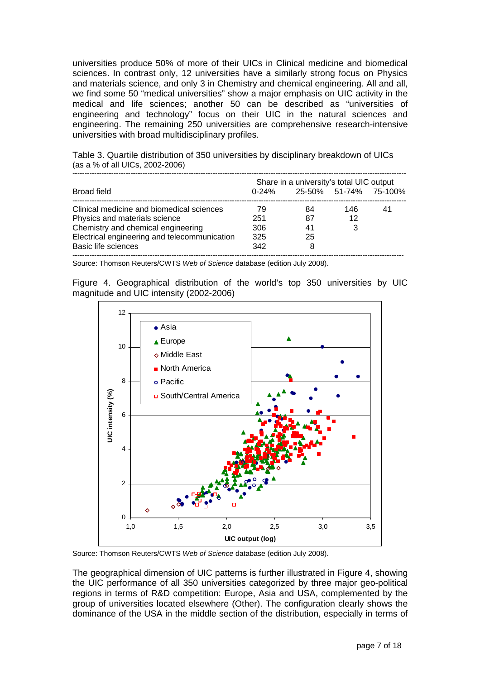universities produce 50% of more of their UICs in Clinical medicine and biomedical sciences. In contrast only, 12 universities have a similarly strong focus on Physics and materials science, and only 3 in Chemistry and chemical engineering. All and all, we find some 50 "medical universities" show a major emphasis on UIC activity in the medical and life sciences; another 50 can be described as "universities of engineering and technology" focus on their UIC in the natural sciences and engineering. The remaining 250 universities are comprehensive research-intensive universities with broad multidisciplinary profiles.

Table 3. Quartile distribution of 350 universities by disciplinary breakdown of UICs (as a % of all UICs, 2002-2006)

|                                              | Share in a university's total UIC output |                       |     |    |  |  |
|----------------------------------------------|------------------------------------------|-----------------------|-----|----|--|--|
| Broad field                                  | $0 - 24%$                                | 25-50% 51-74% 75-100% |     |    |  |  |
| Clinical medicine and biomedical sciences    | 79                                       | 84                    | 146 | 41 |  |  |
| Physics and materials science                | 251                                      | 87                    | 12  |    |  |  |
| Chemistry and chemical engineering           | 306                                      | 41                    |     |    |  |  |
| Electrical engineering and telecommunication | 325                                      | 25                    |     |    |  |  |
| <b>Basic life sciences</b>                   | 342                                      |                       |     |    |  |  |
|                                              |                                          |                       |     |    |  |  |

Source: Thomson Reuters/CWTS *Web of Science* database (edition July 2008).

Figure 4. Geographical distribution of the world's top 350 universities by UIC magnitude and UIC intensity (2002-2006)



Source: Thomson Reuters/CWTS *Web of Science* database (edition July 2008).

The geographical dimension of UIC patterns is further illustrated in Figure 4, showing the UIC performance of all 350 universities categorized by three major geo-political regions in terms of R&D competition: Europe, Asia and USA, complemented by the group of universities located elsewhere (Other). The configuration clearly shows the dominance of the USA in the middle section of the distribution, especially in terms of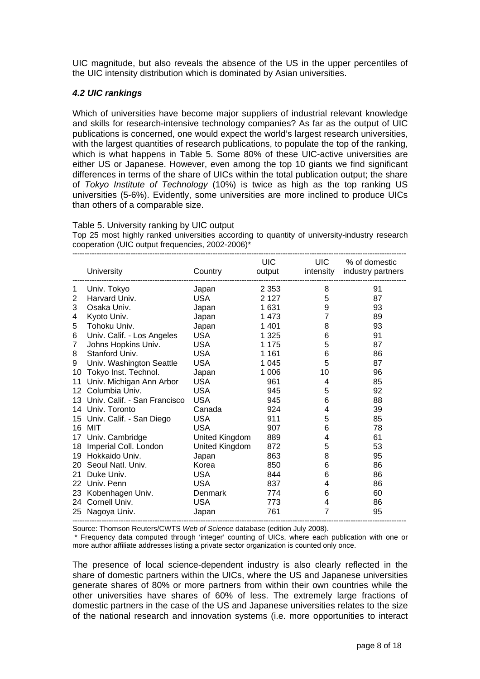UIC magnitude, but also reveals the absence of the US in the upper percentiles of the UIC intensity distribution which is dominated by Asian universities.

### *4.2 UIC rankings*

Which of universities have become major suppliers of industrial relevant knowledge and skills for research-intensive technology companies? As far as the output of UIC publications is concerned, one would expect the world's largest research universities, with the largest quantities of research publications, to populate the top of the ranking, which is what happens in Table 5. Some 80% of these UIC-active universities are either US or Japanese. However, even among the top 10 giants we find significant differences in terms of the share of UICs within the total publication output; the share of *Tokyo Institute of Technology* (10%) is twice as high as the top ranking US universities (5-6%). Evidently, some universities are more inclined to produce UICs than others of a comparable size.

#### Table 5. University ranking by UIC output

Top 25 most highly ranked universities according to quantity of university-industry research cooperation (UIC output frequencies, 2002-2006)\*

|    | <b>University</b>            | Country        | UIC<br>output | <b>UIC</b>     | % of domestic<br>intensity industry partners |
|----|------------------------------|----------------|---------------|----------------|----------------------------------------------|
| 1  | Univ. Tokyo                  | Japan          | 2 3 5 3       | 8              | 91                                           |
| 2  | Harvard Univ.                | <b>USA</b>     | 2 1 2 7       | 5              | 87                                           |
| 3  | Osaka Univ.                  | Japan          | 1631          | 9              | 93                                           |
| 4  | Kyoto Univ.                  | Japan          | 1 4 7 3       | $\overline{7}$ | 89                                           |
| 5  | Tohoku Univ.                 | Japan          | 1 4 0 1       | 8              | 93                                           |
| 6  | Univ. Calif. - Los Angeles   | <b>USA</b>     | 1 3 2 5       | 6              | 91                                           |
| 7  | Johns Hopkins Univ.          | <b>USA</b>     | 1 1 7 5       | 5              | 87                                           |
| 8  | Stanford Univ.               | <b>USA</b>     | 1 1 6 1       | 6              | 86                                           |
| 9  | Univ. Washington Seattle     | <b>USA</b>     | 1 0 4 5       | 5              | 87                                           |
| 10 | Tokyo Inst. Technol.         | Japan          | 1 0 0 6       | 10             | 96                                           |
| 11 | Univ. Michigan Ann Arbor     | <b>USA</b>     | 961           | 4              | 85                                           |
| 12 | Columbia Univ.               | <b>USA</b>     | 945           | 5              | 92                                           |
| 13 | Univ. Calif. - San Francisco | <b>USA</b>     | 945           | 6              | 88                                           |
|    | 14 Univ. Toronto             | Canada         | 924           | 4              | 39                                           |
|    | 15 Univ. Calif. - San Diego  | <b>USA</b>     | 911           | 5              | 85                                           |
| 16 | MIT                          | <b>USA</b>     | 907           | 6              | 78                                           |
|    | 17 Univ. Cambridge           | United Kingdom | 889           | 4              | 61                                           |
| 18 | Imperial Coll. London        | United Kingdom | 872           | 5              | 53                                           |
| 19 | Hokkaido Univ.               | Japan          | 863           | 8              | 95                                           |
| 20 | Seoul Natl. Univ.            | Korea          | 850           | 6              | 86                                           |
| 21 | Duke Univ.                   | <b>USA</b>     | 844           | 6              | 86                                           |
|    | 22 Univ. Penn                | <b>USA</b>     | 837           | 4              | 86                                           |
| 23 | Kobenhagen Univ.             | <b>Denmark</b> | 774           | 6              | 60                                           |
| 24 | Cornell Univ.                | <b>USA</b>     | 773           | 4              | 86                                           |
| 25 | Nagoya Univ.                 | Japan          | 761           | $\overline{7}$ | 95                                           |

Source: Thomson Reuters/CWTS *Web of Science* database (edition July 2008).

 \* Frequency data computed through 'integer' counting of UICs, where each publication with one or more author affiliate addresses listing a private sector organization is counted only once.

The presence of local science-dependent industry is also clearly reflected in the share of domestic partners within the UICs, where the US and Japanese universities generate shares of 80% or more partners from within their own countries while the other universities have shares of 60% of less. The extremely large fractions of domestic partners in the case of the US and Japanese universities relates to the size of the national research and innovation systems (i.e. more opportunities to interact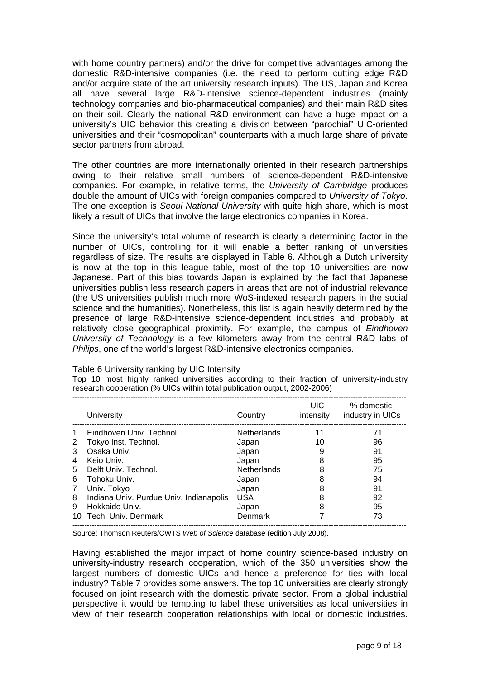with home country partners) and/or the drive for competitive advantages among the domestic R&D-intensive companies (i.e. the need to perform cutting edge R&D and/or acquire state of the art university research inputs). The US, Japan and Korea all have several large R&D-intensive science-dependent industries (mainly technology companies and bio-pharmaceutical companies) and their main R&D sites on their soil. Clearly the national R&D environment can have a huge impact on a university's UIC behavior this creating a division between "parochial" UIC-oriented universities and their "cosmopolitan" counterparts with a much large share of private sector partners from abroad.

The other countries are more internationally oriented in their research partnerships owing to their relative small numbers of science-dependent R&D-intensive companies. For example, in relative terms, the *University of Cambridge* produces double the amount of UICs with foreign companies compared to *University of Tokyo*. The one exception is *Seoul National University* with quite high share, which is most likely a result of UICs that involve the large electronics companies in Korea.

Since the university's total volume of research is clearly a determining factor in the number of UICs, controlling for it will enable a better ranking of universities regardless of size. The results are displayed in Table 6. Although a Dutch university is now at the top in this league table, most of the top 10 universities are now Japanese. Part of this bias towards Japan is explained by the fact that Japanese universities publish less research papers in areas that are not of industrial relevance (the US universities publish much more WoS-indexed research papers in the social science and the humanities). Nonetheless, this list is again heavily determined by the presence of large R&D-intensive science-dependent industries and probably at relatively close geographical proximity. For example, the campus of *Eindhoven University of Technology* is a few kilometers away from the central R&D labs of *Philips*, one of the world's largest R&D-intensive electronics companies.

#### Table 6 University ranking by UIC Intensity

Top 10 most highly ranked universities according to their fraction of university-industry research cooperation (% UICs within total publication output, 2002-2006)

|   | University                              | Country            | UIC.<br>intensity | % domestic<br>industry in UICs |
|---|-----------------------------------------|--------------------|-------------------|--------------------------------|
|   | Eindhoven Univ. Technol.                | <b>Netherlands</b> | 11                | 71                             |
| 2 | Tokyo Inst. Technol.                    | Japan              | 10                | 96                             |
| 3 | Osaka Univ.                             | Japan              |                   | 91                             |
| 4 | Keio Univ.                              | Japan              | 8                 | 95                             |
| 5 | Delft Univ. Technol.                    | <b>Netherlands</b> | 8                 | 75                             |
| 6 | Tohoku Univ.                            | Japan              | 8                 | 94                             |
| 7 | Univ. Tokyo                             | Japan              | 8                 | 91                             |
| 8 | Indiana Univ. Purdue Univ. Indianapolis | <b>USA</b>         | 8                 | 92                             |
| 9 | Hokkaido Univ.                          | Japan              | 8                 | 95                             |
|   | Tech. Univ. Denmark                     | Denmark            |                   | 73                             |

Source: Thomson Reuters/CWTS *Web of Science* database (edition July 2008).

Having established the major impact of home country science-based industry on university-industry research cooperation, which of the 350 universities show the largest numbers of domestic UICs and hence a preference for ties with local industry? Table 7 provides some answers. The top 10 universities are clearly strongly focused on joint research with the domestic private sector. From a global industrial perspective it would be tempting to label these universities as local universities in view of their research cooperation relationships with local or domestic industries.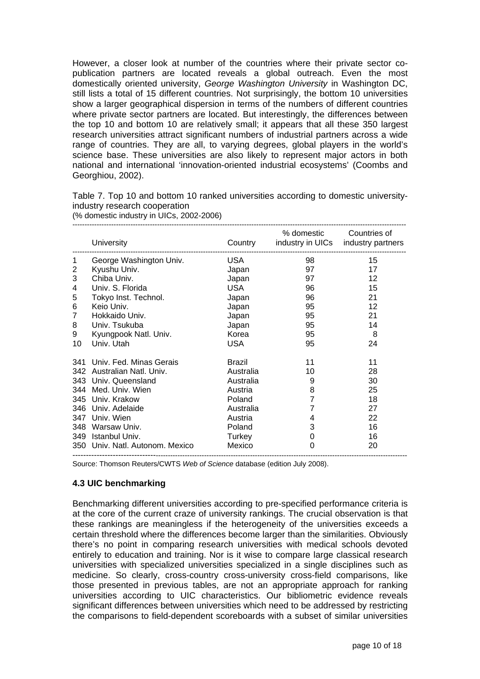However, a closer look at number of the countries where their private sector copublication partners are located reveals a global outreach. Even the most domestically oriented university, *George Washington University* in Washington DC, still lists a total of 15 different countries. Not surprisingly, the bottom 10 universities show a larger geographical dispersion in terms of the numbers of different countries where private sector partners are located. But interestingly, the differences between the top 10 and bottom 10 are relatively small; it appears that all these 350 largest research universities attract significant numbers of industrial partners across a wide range of countries. They are all, to varying degrees, global players in the world's science base. These universities are also likely to represent major actors in both national and international 'innovation-oriented industrial ecosystems' (Coombs and Georghiou, 2002).

Table 7. Top 10 and bottom 10 ranked universities according to domestic universityindustry research cooperation

|    | <b>University</b>               | Country       | % domestic Countries of | industry in UICs industry partners |
|----|---------------------------------|---------------|-------------------------|------------------------------------|
| 1  | George Washington Univ.         | USA           | 98                      | 15                                 |
| 2  | Kyushu Univ.                    | Japan         | 97                      | 17                                 |
| 3  | Chiba Univ.                     | Japan         | 97                      | 12                                 |
| 4  | Univ. S. Florida                | USA           | 96                      | 15                                 |
| 5  | Tokyo Inst. Technol.            | Japan         | 96                      | 21                                 |
| 6  | Keio Univ.                      | Japan         | 95                      | 12                                 |
| 7  | Hokkaido Univ.                  | Japan         | 95                      | 21                                 |
| 8  | Univ. Tsukuba                   | Japan         | 95                      | 14                                 |
| 9  | Kyungpook Natl. Univ.           | Korea         | 95                      | 8                                  |
| 10 | Univ. Utah                      | <b>USA</b>    | 95                      | 24                                 |
|    | 341 Univ. Fed. Minas Gerais     | <b>Brazil</b> | 11                      | 11                                 |
|    | 342 Australian Natl. Univ.      | Australia     | 10                      | 28                                 |
|    | 343 Univ. Queensland            | Australia     | 9                       | 30                                 |
|    | 344 Med. Univ. Wien             | Austria       | 8                       | 25                                 |
|    | 345 Univ. Krakow                | Poland        | $\overline{7}$          | 18                                 |
|    | 346 Univ. Adelaide              | Australia     | 7                       | 27                                 |
|    | 347 Univ. Wien                  | Austria       | 4                       | 22                                 |
|    | 348 Warsaw Univ.                | Poland        | 3                       | 16                                 |
|    | 349 Istanbul Univ.              | Turkey        | 0                       | 16                                 |
|    | 350 Univ. Natl. Autonom. Mexico | Mexico        | $\Omega$                | 20                                 |
|    |                                 |               |                         |                                    |

(% domestic industry in UICs, 2002-2006)

Source: Thomson Reuters/CWTS *Web of Science* database (edition July 2008).

# **4.3 UIC benchmarking**

Benchmarking different universities according to pre-specified performance criteria is at the core of the current craze of university rankings. The crucial observation is that these rankings are meaningless if the heterogeneity of the universities exceeds a certain threshold where the differences become larger than the similarities. Obviously there's no point in comparing research universities with medical schools devoted entirely to education and training. Nor is it wise to compare large classical research universities with specialized universities specialized in a single disciplines such as medicine. So clearly, cross-country cross-university cross-field comparisons, like those presented in previous tables, are not an appropriate approach for ranking universities according to UIC characteristics. Our bibliometric evidence reveals significant differences between universities which need to be addressed by restricting the comparisons to field-dependent scoreboards with a subset of similar universities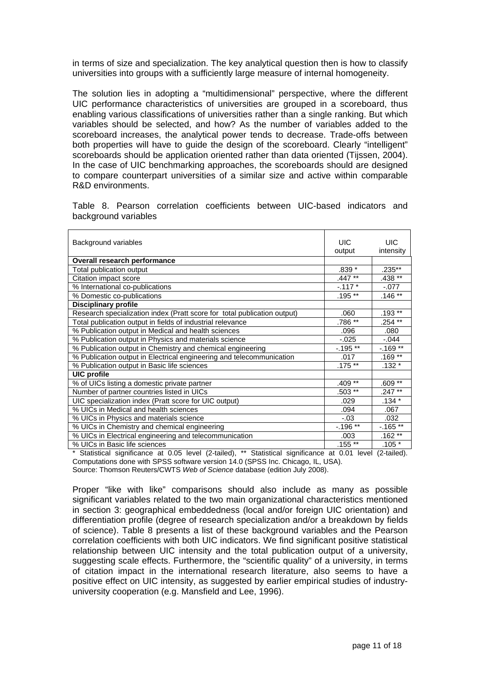in terms of size and specialization. The key analytical question then is how to classify universities into groups with a sufficiently large measure of internal homogeneity.

The solution lies in adopting a "multidimensional" perspective, where the different UIC performance characteristics of universities are grouped in a scoreboard, thus enabling various classifications of universities rather than a single ranking. But which variables should be selected, and how? As the number of variables added to the scoreboard increases, the analytical power tends to decrease. Trade-offs between both properties will have to guide the design of the scoreboard. Clearly "intelligent" scoreboards should be application oriented rather than data oriented (Tijssen, 2004). In the case of UIC benchmarking approaches, the scoreboards should are designed to compare counterpart universities of a similar size and active within comparable R&D environments.

Table 8. Pearson correlation coefficients between UIC-based indicators and background variables

| Background variables                                                                                                | <b>UIC</b>                                             | UIC.           |
|---------------------------------------------------------------------------------------------------------------------|--------------------------------------------------------|----------------|
|                                                                                                                     | output                                                 | intensity      |
| Overall research performance                                                                                        |                                                        |                |
| Total publication output                                                                                            | .839 *                                                 | $.235***$      |
| Citation impact score                                                                                               | .447**                                                 | .438 **        |
| % International co-publications                                                                                     | $-117*$                                                | $-.077$        |
| % Domestic co-publications                                                                                          | $.195**$                                               | $.146 \times $ |
| <b>Disciplinary profile</b>                                                                                         |                                                        |                |
| Research specialization index (Pratt score for total publication output)                                            | .060                                                   | $.193***$      |
| Total publication output in fields of industrial relevance                                                          | $.786$ **                                              | $.254$ **      |
| % Publication output in Medical and health sciences                                                                 | .096                                                   | .080           |
| % Publication output in Physics and materials science                                                               | $-0.025$                                               | $-0.044$       |
| % Publication output in Chemistry and chemical engineering                                                          | $-195**$                                               | $-.169**$      |
| % Publication output in Electrical engineering and telecommunication                                                | .017                                                   | $.169**$       |
| % Publication output in Basic life sciences                                                                         | $.175***$                                              | $.132*$        |
| <b>UIC profile</b>                                                                                                  |                                                        |                |
| % of UICs listing a domestic private partner                                                                        | $.409**$                                               | $.609**$       |
| Number of partner countries listed in UICs                                                                          | .503 **                                                | .247 **        |
| UIC specialization index (Pratt score for UIC output)                                                               | .029                                                   | $.134*$        |
| % UICs in Medical and health sciences                                                                               | .094                                                   | .067           |
| % UICs in Physics and materials science                                                                             | $-.03$                                                 | .032           |
| % UICs in Chemistry and chemical engineering                                                                        | $-196$ **                                              | $-.165**$      |
| % UICs in Electrical engineering and telecommunication                                                              | .003                                                   | $.162**$       |
| % UICs in Basic life sciences<br>$*$ Obstituting interesting and O OF lead (O to the U $**$ Obstituting institution | $.155$ <sup>**</sup><br>$-1$ 0.04 $-1$ $-1$ $(0 + -1)$ | $.105*$        |

Statistical significance at 0.05 level (2-tailed), \*\* Statistical significance at 0.01 level (2-tailed). Computations done with SPSS software version 14.0 (SPSS Inc. Chicago, IL, USA). Source: Thomson Reuters/CWTS *Web of Science* database (edition July 2008).

Proper "like with like" comparisons should also include as many as possible significant variables related to the two main organizational characteristics mentioned in section 3: geographical embeddedness (local and/or foreign UIC orientation) and differentiation profile (degree of research specialization and/or a breakdown by fields of science). Table 8 presents a list of these background variables and the Pearson correlation coefficients with both UIC indicators. We find significant positive statistical relationship between UIC intensity and the total publication output of a university, suggesting scale effects. Furthermore, the "scientific quality" of a university, in terms of citation impact in the international research literature, also seems to have a positive effect on UIC intensity, as suggested by earlier empirical studies of industryuniversity cooperation (e.g. Mansfield and Lee, 1996).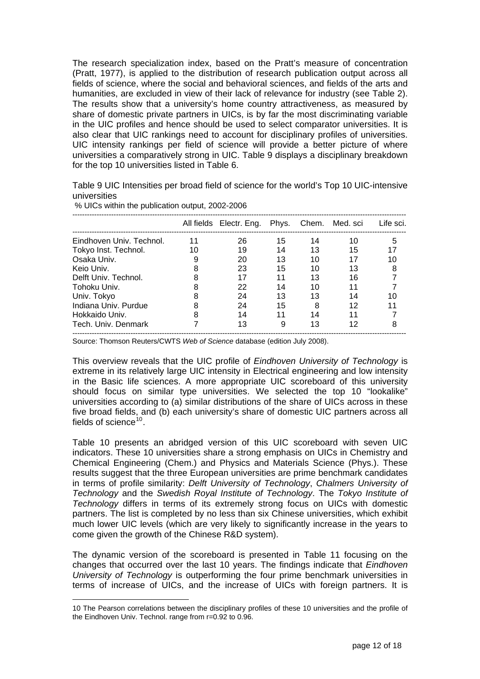The research specialization index, based on the Pratt's measure of concentration (Pratt, 1977), is applied to the distribution of research publication output across all fields of science, where the social and behavioral sciences, and fields of the arts and humanities, are excluded in view of their lack of relevance for industry (see Table 2). The results show that a university's home country attractiveness, as measured by share of domestic private partners in UICs, is by far the most discriminating variable in the UIC profiles and hence should be used to select comparator universities. It is also clear that UIC rankings need to account for disciplinary profiles of universities. UIC intensity rankings per field of science will provide a better picture of where universities a comparatively strong in UIC. Table 9 displays a disciplinary breakdown for the top 10 universities listed in Table 6.

Table 9 UIC Intensities per broad field of science for the world's Top 10 UIC-intensive universities

|                          |    | All fields Electr. Eng. Phys. |    |    | Chem. Med. sci | Life sci. |
|--------------------------|----|-------------------------------|----|----|----------------|-----------|
| Eindhoven Univ. Technol. | 11 | 26                            | 15 | 14 | 10             | 5         |
| Tokyo Inst. Technol.     | 10 | 19                            | 14 | 13 | 15             |           |
| Osaka Univ.              |    | 20                            | 13 | 10 | 17             | 10        |
| Keio Univ.               | 8  | 23                            | 15 | 10 | 13             | 8         |
| Delft Univ. Technol.     | 8  | 17                            | 11 | 13 | 16             |           |
| Tohoku Univ.             |    | 22                            | 14 | 10 | 11             |           |
| Univ. Tokyo              |    | 24                            | 13 | 13 | 14             | 10        |
| Indiana Univ. Purdue     |    | 24                            | 15 | 8  | 12             |           |
| Hokkaido Univ.           |    | 14                            | 11 | 14 | 11             |           |
| Tech. Univ. Denmark      |    | 13                            | 9  | 13 | 12             | 8         |

% UICs within the publication output, 2002-2006

 $\overline{a}$ 

Source: Thomson Reuters/CWTS *Web of Science* database (edition July 2008).

This overview reveals that the UIC profile of *Eindhoven University of Technology* is extreme in its relatively large UIC intensity in Electrical engineering and low intensity in the Basic life sciences. A more appropriate UIC scoreboard of this university should focus on similar type universities. We selected the top 10 "lookalike" universities according to (a) similar distributions of the share of UICs across in these five broad fields, and (b) each university's share of domestic UIC partners across all fields of science $10$ .

Table 10 presents an abridged version of this UIC scoreboard with seven UIC indicators. These 10 universities share a strong emphasis on UICs in Chemistry and Chemical Engineering (Chem.) and Physics and Materials Science (Phys.). These results suggest that the three European universities are prime benchmark candidates in terms of profile similarity: *Delft University of Technology*, *Chalmers University of Technology* and the *Swedish Royal Institute of Technology*. The *Tokyo Institute of Technology* differs in terms of its extremely strong focus on UICs with domestic partners. The list is completed by no less than six Chinese universities, which exhibit much lower UIC levels (which are very likely to significantly increase in the years to come given the growth of the Chinese R&D system).

The dynamic version of the scoreboard is presented in Table 11 focusing on the changes that occurred over the last 10 years. The findings indicate that *Eindhoven University of Technology* is outperforming the four prime benchmark universities in terms of increase of UICs, and the increase of UICs with foreign partners. It is

<span id="page-11-0"></span><sup>10</sup> The Pearson correlations between the disciplinary profiles of these 10 universities and the profile of the Eindhoven Univ. Technol. range from r=0.92 to 0.96.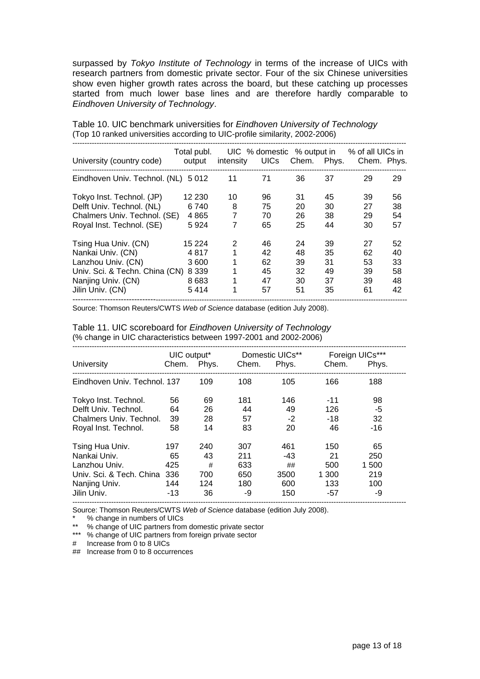surpassed by *Tokyo Institute of Technology* in terms of the increase of UICs with research partners from domestic private sector. Four of the six Chinese universities show even higher growth rates across the board, but these catching up processes started from much lower base lines and are therefore hardly comparable to *Eindhoven University of Technology*.

| University (country code)                              | Total publ.<br>output | intensity | UICs     | Chem.    | Phys.    | UIC % domestic % output in % of all UICs in<br>Chem. Phys. |          |
|--------------------------------------------------------|-----------------------|-----------|----------|----------|----------|------------------------------------------------------------|----------|
| Eindhoven Univ. Technol. (NL) 5 012                    |                       | 11        | 71       | 36       | 37       | 29                                                         | 29       |
| Tokyo Inst. Technol. (JP)<br>Delft Univ. Technol. (NL) | 12 2 30<br>6 740      | 10<br>8   | 96<br>75 | 31<br>20 | 45<br>30 | 39<br>27                                                   | 56<br>38 |
| Chalmers Univ. Technol. (SE)                           | 4 8 6 5               | 7         | 70       | 26       | 38       | 29                                                         | 54       |
| Royal Inst. Technol. (SE)                              | 5924                  | 7         | 65       | 25       | 44       | 30                                                         | 57       |
| Tsing Hua Univ. (CN)                                   | 15 2 24               | 2         | 46       | 24       | 39       | 27                                                         | 52       |
| Nankai Univ. (CN)                                      | 4817                  | 1         | 42       | 48       | 35       | 62                                                         | 40       |
| Lanzhou Univ. (CN)                                     | 3600                  | 1         | 62       | 39       | 31       | 53                                                         | 33       |
| Univ. Sci. & Techn. China (CN)                         | 8 3 3 9               | 1         | 45       | 32       | 49       | 39                                                         | 58       |
| Nanjing Univ. (CN)                                     | 8683                  | 1         | 47       | 30       | 37       | 39                                                         | 48       |
| Jilin Univ. (CN)                                       | 5414                  | 1         | 57       | 51       | 35       | 61                                                         | 42       |

Table 10. UIC benchmark universities for *Eindhoven University of Technology* (Top 10 ranked universities according to UIC-profile similarity, 2002-2006)

Source: Thomson Reuters/CWTS *Web of Science* database (edition July 2008).

| Table 11. UIC scoreboard for Eindhoven University of Technology   |
|-------------------------------------------------------------------|
| (% change in UIC characteristics between 1997-2001 and 2002-2006) |

|                              | UIC output* |       |       | Domestic UICs** |       | Foreign UICs*** |
|------------------------------|-------------|-------|-------|-----------------|-------|-----------------|
| University                   | Chem.       | Phys. | Chem. | Phys.           | Chem. | Phys.           |
| Eindhoven Univ. Technol. 137 |             | 109   | 108   | 105             | 166   | 188             |
| Tokyo Inst. Technol.         | 56          | 69    | 181   | 146             | $-11$ | 98              |
| Delft Univ. Technol.         | 64          | 26    | 44    | 49              | 126   | -5              |
| Chalmers Univ. Technol.      | 39          | 28    | 57    | $-2$            | $-18$ | 32              |
| Royal Inst. Technol.         | 58          | 14    | 83    | 20              | 46    | $-16$           |
| Tsing Hua Univ.              | 197         | 240   | 307   | 461             | 150   | 65              |
| Nankai Univ.                 | 65          | 43    | 211   | -43             | 21    | 250             |
| Lanzhou Univ.                | 425         | #     | 633   | ##              | 500   | 1500            |
| Univ. Sci. & Tech. China     | 336         | 700   | 650   | 3500            | 1 300 | 219             |
| Nanjing Univ.                | 144         | 124   | 180   | 600             | 133   | 100             |
| Jilin Univ.                  | $-13$       | 36    | -9    | 150             | -57   | -9              |

Source: Thomson Reuters/CWTS *Web of Science* database (edition July 2008).

% change in numbers of UICs

\*\* % change of UIC partners from domestic private sector

\*\*\* % change of UIC partners from foreign private sector

# Increase from 0 to 8 UICs

## Increase from 0 to 8 occurrences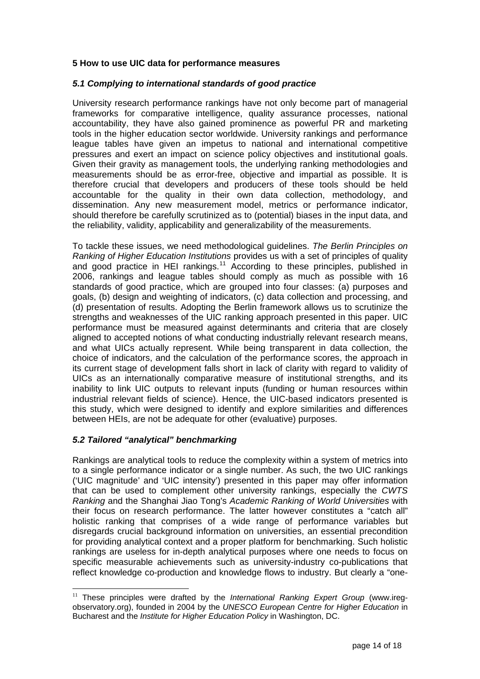### **5 How to use UIC data for performance measures**

### *5.1 Complying to international standards of good practice*

University research performance rankings have not only become part of managerial frameworks for comparative intelligence, quality assurance processes, national accountability, they have also gained prominence as powerful PR and marketing tools in the higher education sector worldwide. University rankings and performance league tables have given an impetus to national and international competitive pressures and exert an impact on science policy objectives and institutional goals. Given their gravity as management tools, the underlying ranking methodologies and measurements should be as error-free, objective and impartial as possible. It is therefore crucial that developers and producers of these tools should be held accountable for the quality in their own data collection, methodology, and dissemination. Any new measurement model, metrics or performance indicator, should therefore be carefully scrutinized as to (potential) biases in the input data, and the reliability, validity, applicability and generalizability of the measurements.

To tackle these issues, we need methodological guidelines. *The Berlin Principles on Ranking of Higher Education Institutions* provides us with a set of principles of quality and good practice in HEI rankings.<sup>[11](#page-13-0)</sup> According to these principles, published in 2006, rankings and league tables should comply as much as possible with 16 standards of good practice, which are grouped into four classes: (a) purposes and goals, (b) design and weighting of indicators, (c) data collection and processing, and (d) presentation of results. Adopting the Berlin framework allows us to scrutinize the strengths and weaknesses of the UIC ranking approach presented in this paper. UIC performance must be measured against determinants and criteria that are closely aligned to accepted notions of what conducting industrially relevant research means, and what UICs actually represent. While being transparent in data collection, the choice of indicators, and the calculation of the performance scores, the approach in its current stage of development falls short in lack of clarity with regard to validity of UICs as an internationally comparative measure of institutional strengths, and its inability to link UIC outputs to relevant inputs (funding or human resources within industrial relevant fields of science). Hence, the UIC-based indicators presented is this study, which were designed to identify and explore similarities and differences between HEIs, are not be adequate for other (evaluative) purposes.

# *5.2 Tailored "analytical" benchmarking*

 $\overline{a}$ 

Rankings are analytical tools to reduce the complexity within a system of metrics into to a single performance indicator or a single number. As such, the two UIC rankings ('UIC magnitude' and 'UIC intensity') presented in this paper may offer information that can be used to complement other university rankings, especially the *CWTS Ranking* and the Shanghai Jiao Tong's *Academic Ranking of World Universities* with their focus on research performance. The latter however constitutes a "catch all" holistic ranking that comprises of a wide range of performance variables but disregards crucial background information on universities, an essential precondition for providing analytical context and a proper platform for benchmarking. Such holistic rankings are useless for in-depth analytical purposes where one needs to focus on specific measurable achievements such as university-industry co-publications that reflect knowledge co-production and knowledge flows to industry. But clearly a "one-

<span id="page-13-0"></span><sup>&</sup>lt;sup>11</sup> These principles were drafted by the *International Ranking Expert Group* (www.iregobservatory.org), founded in 2004 by the *UNESCO European Centre for Higher Education* in Bucharest and the *Institute for Higher Education Policy* in Washington, DC.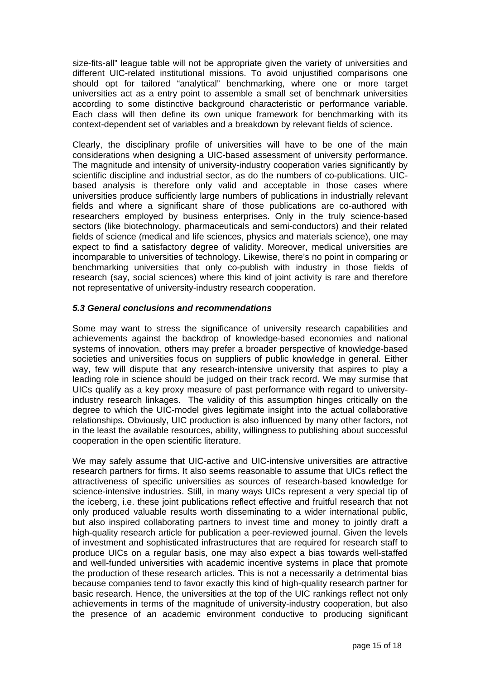size-fits-all" league table will not be appropriate given the variety of universities and different UIC-related institutional missions. To avoid unjustified comparisons one should opt for tailored "analytical" benchmarking, where one or more target universities act as a entry point to assemble a small set of benchmark universities according to some distinctive background characteristic or performance variable. Each class will then define its own unique framework for benchmarking with its context-dependent set of variables and a breakdown by relevant fields of science.

Clearly, the disciplinary profile of universities will have to be one of the main considerations when designing a UIC-based assessment of university performance. The magnitude and intensity of university-industry cooperation varies significantly by scientific discipline and industrial sector, as do the numbers of co-publications. UICbased analysis is therefore only valid and acceptable in those cases where universities produce sufficiently large numbers of publications in industrially relevant fields and where a significant share of those publications are co-authored with researchers employed by business enterprises. Only in the truly science-based sectors (like biotechnology, pharmaceuticals and semi-conductors) and their related fields of science (medical and life sciences, physics and materials science), one may expect to find a satisfactory degree of validity. Moreover, medical universities are incomparable to universities of technology. Likewise, there's no point in comparing or benchmarking universities that only co-publish with industry in those fields of research (say, social sciences) where this kind of joint activity is rare and therefore not representative of university-industry research cooperation.

# *5.3 General conclusions and recommendations*

Some may want to stress the significance of university research capabilities and achievements against the backdrop of knowledge-based economies and national systems of innovation, others may prefer a broader perspective of knowledge-based societies and universities focus on suppliers of public knowledge in general. Either way, few will dispute that any research-intensive university that aspires to play a leading role in science should be judged on their track record. We may surmise that UICs qualify as a key proxy measure of past performance with regard to universityindustry research linkages. The validity of this assumption hinges critically on the degree to which the UIC-model gives legitimate insight into the actual collaborative relationships. Obviously, UIC production is also influenced by many other factors, not in the least the available resources, ability, willingness to publishing about successful cooperation in the open scientific literature.

We may safely assume that UIC-active and UIC-intensive universities are attractive research partners for firms. It also seems reasonable to assume that UICs reflect the attractiveness of specific universities as sources of research-based knowledge for science-intensive industries. Still, in many ways UICs represent a very special tip of the iceberg, i.e. these joint publications reflect effective and fruitful research that not only produced valuable results worth disseminating to a wider international public, but also inspired collaborating partners to invest time and money to jointly draft a high-quality research article for publication a peer-reviewed journal. Given the levels of investment and sophisticated infrastructures that are required for research staff to produce UICs on a regular basis, one may also expect a bias towards well-staffed and well-funded universities with academic incentive systems in place that promote the production of these research articles. This is not a necessarily a detrimental bias because companies tend to favor exactly this kind of high-quality research partner for basic research. Hence, the universities at the top of the UIC rankings reflect not only achievements in terms of the magnitude of university-industry cooperation, but also the presence of an academic environment conductive to producing significant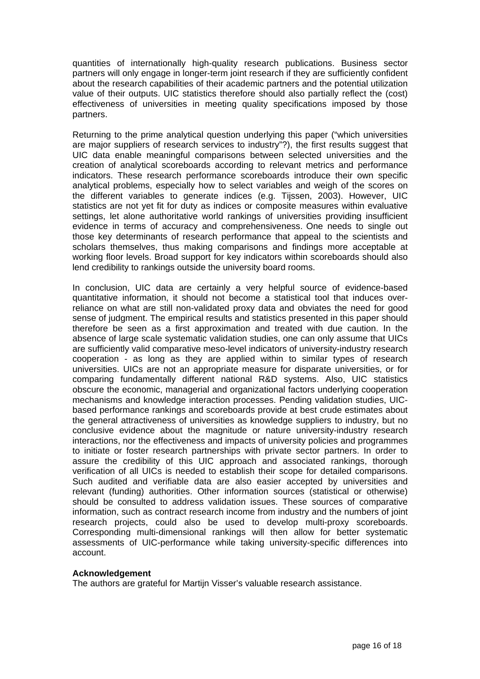quantities of internationally high-quality research publications. Business sector partners will only engage in longer-term joint research if they are sufficiently confident about the research capabilities of their academic partners and the potential utilization value of their outputs. UIC statistics therefore should also partially reflect the (cost) effectiveness of universities in meeting quality specifications imposed by those partners.

Returning to the prime analytical question underlying this paper ("which universities are major suppliers of research services to industry"?), the first results suggest that UIC data enable meaningful comparisons between selected universities and the creation of analytical scoreboards according to relevant metrics and performance indicators. These research performance scoreboards introduce their own specific analytical problems, especially how to select variables and weigh of the scores on the different variables to generate indices (e.g. Tijssen, 2003). However, UIC statistics are not yet fit for duty as indices or composite measures within evaluative settings, let alone authoritative world rankings of universities providing insufficient evidence in terms of accuracy and comprehensiveness. One needs to single out those key determinants of research performance that appeal to the scientists and scholars themselves, thus making comparisons and findings more acceptable at working floor levels. Broad support for key indicators within scoreboards should also lend credibility to rankings outside the university board rooms.

In conclusion, UIC data are certainly a very helpful source of evidence-based quantitative information, it should not become a statistical tool that induces overreliance on what are still non-validated proxy data and obviates the need for good sense of judgment. The empirical results and statistics presented in this paper should therefore be seen as a first approximation and treated with due caution. In the absence of large scale systematic validation studies, one can only assume that UICs are sufficiently valid comparative meso-level indicators of university-industry research cooperation - as long as they are applied within to similar types of research universities. UICs are not an appropriate measure for disparate universities, or for comparing fundamentally different national R&D systems. Also, UIC statistics obscure the economic, managerial and organizational factors underlying cooperation mechanisms and knowledge interaction processes. Pending validation studies, UICbased performance rankings and scoreboards provide at best crude estimates about the general attractiveness of universities as knowledge suppliers to industry, but no conclusive evidence about the magnitude or nature university-industry research interactions, nor the effectiveness and impacts of university policies and programmes to initiate or foster research partnerships with private sector partners. In order to assure the credibility of this UIC approach and associated rankings, thorough verification of all UICs is needed to establish their scope for detailed comparisons. Such audited and verifiable data are also easier accepted by universities and relevant (funding) authorities. Other information sources (statistical or otherwise) should be consulted to address validation issues. These sources of comparative information, such as contract research income from industry and the numbers of joint research projects, could also be used to develop multi-proxy scoreboards. Corresponding multi-dimensional rankings will then allow for better systematic assessments of UIC-performance while taking university-specific differences into account.

### **Acknowledgement**

The authors are grateful for Martijn Visser's valuable research assistance.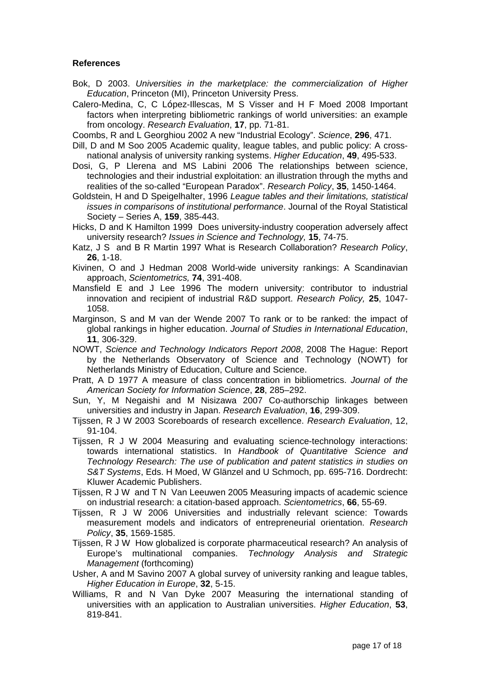### **References**

- Bok, D 2003. *Universities in the marketplace: the commercialization of Higher Education*, Princeton (MI), Princeton University Press.
- Calero-Medina, C, C López-Illescas, M S Visser and H F Moed 2008 Important factors when interpreting bibliometric rankings of world universities: an example from oncology. *Research Evaluation*, **17**, pp. 71-81.
- Coombs, R and L Georghiou 2002 A new "Industrial Ecology". *Science*, **296**, 471.
- Dill, D and M Soo 2005 Academic quality, league tables, and public policy: A crossnational analysis of university ranking systems. *Higher Education*, **49**, 495-533.
- Dosi, G, P Llerena and MS Labini 2006 The relationships between science, technologies and their industrial exploitation: an illustration through the myths and realities of the so-called "European Paradox". *Research Policy*, **35**, 1450-1464.
- Goldstein, H and D Speigelhalter, 1996 *League tables and their limitations, statistical issues in comparisons of institutional performance*. Journal of the Royal Statistical Society – Series A, **159**, 385-443.
- Hicks, D and K Hamilton 1999 Does university-industry cooperation adversely affect university research? *Issues in Science and Technology,* **15**, 74-75.
- Katz, J S and B R Martin 1997 What is Research Collaboration? *Research Policy*, **26**, 1-18.
- Kivinen, O and J Hedman 2008 World-wide university rankings: A Scandinavian approach, *Scientometrics,* **74**, 391-408.
- Mansfield E and J Lee 1996 The modern university: contributor to industrial innovation and recipient of industrial R&D support. *Research Policy,* **25**, 1047- 1058.
- Marginson, S and M van der Wende 2007 To rank or to be ranked: the impact of global rankings in higher education. *Journal of Studies in International Education*, **11**, 306-329.
- NOWT, *Science and Technology Indicators Report 2008*, 2008 The Hague: Report by the Netherlands Observatory of Science and Technology (NOWT) for Netherlands Ministry of Education, Culture and Science.
- Pratt, A D 1977 A measure of class concentration in bibliometrics. *Journal of the American Society for Information Science*, **28**, 285–292.
- Sun, Y, M Negaishi and M Nisizawa 2007 Co-authorschip linkages between universities and industry in Japan. *Research Evaluation*, **16**, 299-309.
- Tijssen, R J W 2003 Scoreboards of research excellence. *Research Evaluation*, 12, 91-104.
- Tijssen, R J W 2004 Measuring and evaluating science-technology interactions: towards international statistics. In *Handbook of Quantitative Science and Technology Research: The use of publication and patent statistics in studies on S&T Systems*, Eds. H Moed, W Glänzel and U Schmoch, pp. 695-716. Dordrecht: Kluwer Academic Publishers.
- Tijssen, R J W and T N Van Leeuwen 2005 Measuring impacts of academic science on industrial research: a citation-based approach. *Scientometrics*, **66**, 55-69.
- Tijssen, R J W 2006 Universities and industrially relevant science: Towards measurement models and indicators of entrepreneurial orientation. *Research Policy*, **35**, 1569-1585.
- Tijssen, R J W How globalized is corporate pharmaceutical research? An analysis of Europe's multinational companies. *Technology Analysis and Strategic Management* (forthcoming)
- Usher, A and M Savino 2007 A global survey of university ranking and league tables, *Higher Education in Europe*, **32**, 5-15.
- Williams, R and N Van Dyke 2007 Measuring the international standing of universities with an application to Australian universities. *Higher Education*, **53**, 819-841.